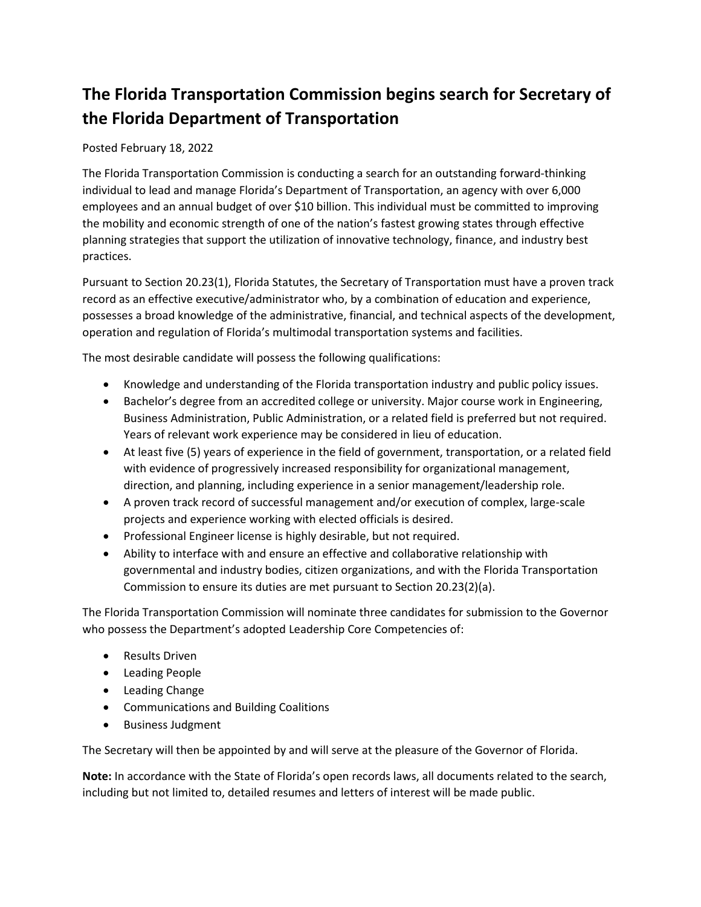## **The Florida Transportation Commission begins search for Secretary of the Florida Department of Transportation**

## Posted February 18, 2022

The Florida Transportation Commission is conducting a search for an outstanding forward-thinking individual to lead and manage Florida's Department of Transportation, an agency with over 6,000 employees and an annual budget of over \$10 billion. This individual must be committed to improving the mobility and economic strength of one of the nation's fastest growing states through effective planning strategies that support the utilization of innovative technology, finance, and industry best practices.

Pursuant to Section 20.23(1), Florida Statutes, the Secretary of Transportation must have a proven track record as an effective executive/administrator who, by a combination of education and experience, possesses a broad knowledge of the administrative, financial, and technical aspects of the development, operation and regulation of Florida's multimodal transportation systems and facilities.

The most desirable candidate will possess the following qualifications:

- Knowledge and understanding of the Florida transportation industry and public policy issues.
- Bachelor's degree from an accredited college or university. Major course work in Engineering, Business Administration, Public Administration, or a related field is preferred but not required. Years of relevant work experience may be considered in lieu of education.
- At least five (5) years of experience in the field of government, transportation, or a related field with evidence of progressively increased responsibility for organizational management, direction, and planning, including experience in a senior management/leadership role.
- A proven track record of successful management and/or execution of complex, large-scale projects and experience working with elected officials is desired.
- Professional Engineer license is highly desirable, but not required.
- Ability to interface with and ensure an effective and collaborative relationship with governmental and industry bodies, citizen organizations, and with the Florida Transportation Commission to ensure its duties are met pursuant to Section 20.23(2)(a).

The Florida Transportation Commission will nominate three candidates for submission to the Governor who possess the Department's adopted Leadership Core Competencies of:

- Results Driven
- Leading People
- Leading Change
- Communications and Building Coalitions
- Business Judgment

The Secretary will then be appointed by and will serve at the pleasure of the Governor of Florida.

**Note:** In accordance with the State of Florida's open records laws, all documents related to the search, including but not limited to, detailed resumes and letters of interest will be made public.